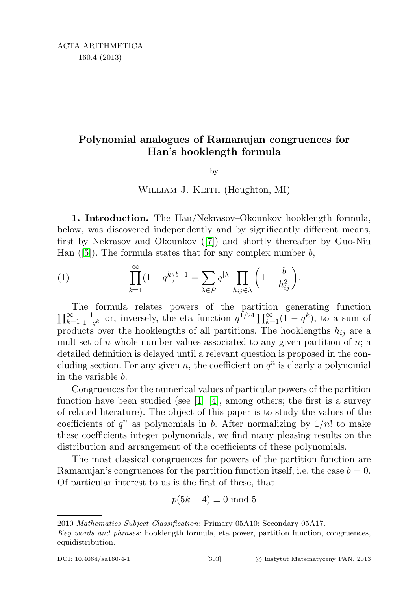## Polynomial analogues of Ramanujan congruences for Han's hooklength formula

by

## WILLIAM J. KEITH (Houghton, MI)

1. Introduction. The Han/Nekrasov–Okounkov hooklength formula, below, was discovered independently and by significantly different means, first by Nekrasov and Okounkov ([\[7\]](#page-12-0)) and shortly thereafter by Guo-Niu Han  $([5])$  $([5])$  $([5])$ . The formula states that for any complex number b,

(1) 
$$
\prod_{k=1}^{\infty} (1 - q^k)^{b-1} = \sum_{\lambda \in \mathcal{P}} q^{|\lambda|} \prod_{h_{ij} \in \lambda} \left(1 - \frac{b}{h_{ij}^2}\right).
$$

 $\prod_{k=1}^{\infty}$ The formula relates powers of the partition generating function  $_{k=1}^{\infty} \frac{1}{1-z}$  $\frac{1}{1-q^k}$  or, inversely, the eta function  $q^{\hat{1}/24} \prod_{k=1}^{\infty} (1-q^k)$ , to a sum of products over the hooklengths of all partitions. The hooklengths  $h_{ij}$  are a multiset of n whole number values associated to any given partition of  $n$ ; a detailed definition is delayed until a relevant question is proposed in the concluding section. For any given n, the coefficient on  $q^n$  is clearly a polynomial in the variable b.

Congruences for the numerical values of particular powers of the partition function have been studied (see  $[1]-[4]$  $[1]-[4]$  $[1]-[4]$ , among others; the first is a survey of related literature). The object of this paper is to study the values of the coefficients of  $q^n$  as polynomials in b. After normalizing by  $1/n!$  to make these coefficients integer polynomials, we find many pleasing results on the distribution and arrangement of the coefficients of these polynomials.

The most classical congruences for powers of the partition function are Ramanujan's congruences for the partition function itself, i.e. the case  $b = 0$ . Of particular interest to us is the first of these, that

$$
p(5k+4) \equiv 0 \bmod 5
$$

<sup>2010</sup> Mathematics Subject Classification: Primary 05A10; Secondary 05A17.

Key words and phrases: hooklength formula, eta power, partition function, congruences, equidistribution.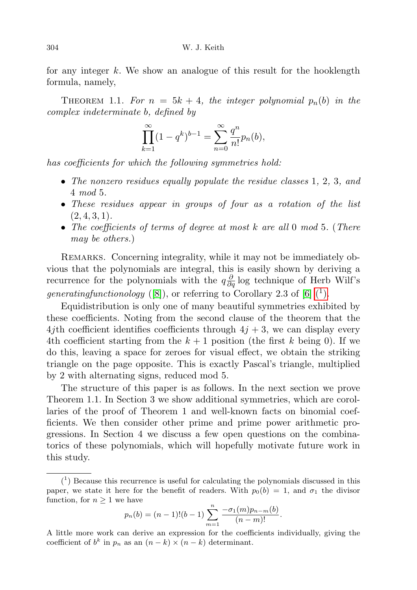for any integer  $k$ . We show an analogue of this result for the hooklength formula, namely,

<span id="page-1-1"></span>THEOREM 1.1. For  $n = 5k + 4$ , the integer polynomial  $p_n(b)$  in the complex indeterminate b, defined by

$$
\prod_{k=1}^{\infty} (1 - q^k)^{b-1} = \sum_{n=0}^{\infty} \frac{q^n}{n!} p_n(b),
$$

has coefficients for which the following symmetries hold:

- The nonzero residues equally populate the residue classes 1, 2, 3, and 4 mod 5.
- These residues appear in groups of four as a rotation of the list  $(2, 4, 3, 1).$
- The coefficients of terms of degree at most k are all 0 mod 5. (There may be others.)

REMARKS. Concerning integrality, while it may not be immediately obvious that the polynomials are integral, this is easily shown by deriving a recurrence for the polynomials with the  $q\frac{\partial}{\partial q}$  log technique of Herb Wilf's generatingfunctionology ([\[8\]](#page-12-4)), or referring to Corollary 2.3 of [\[6\]](#page-12-5)  $(1)$ .

Equidistribution is only one of many beautiful symmetries exhibited by these coefficients. Noting from the second clause of the theorem that the 4jth coefficient identifies coefficients through  $4j + 3$ , we can display every 4th coefficient starting from the  $k+1$  position (the first k being 0). If we do this, leaving a space for zeroes for visual effect, we obtain the striking triangle on the page opposite. This is exactly Pascal's triangle, multiplied by 2 with alternating signs, reduced mod 5.

The structure of this paper is as follows. In the next section we prove Theorem 1.1. In Section 3 we show additional symmetries, which are corollaries of the proof of Theorem 1 and well-known facts on binomial coefficients. We then consider other prime and prime power arithmetic progressions. In Section 4 we discuss a few open questions on the combinatorics of these polynomials, which will hopefully motivate future work in this study.

$$
p_n(b) = (n-1)!(b-1)\sum_{m=1}^n \frac{-\sigma_1(m)p_{n-m}(b)}{(n-m)!}.
$$

A little more work can derive an expression for the coefficients individually, giving the coefficient of  $b^k$  in  $p_n$  as an  $(n-k) \times (n-k)$  determinant.

<span id="page-1-0"></span> $(1)$  Because this recurrence is useful for calculating the polynomials discussed in this paper, we state it here for the benefit of readers. With  $p_0(b) = 1$ , and  $\sigma_1$  the divisor function, for  $n \geq 1$  we have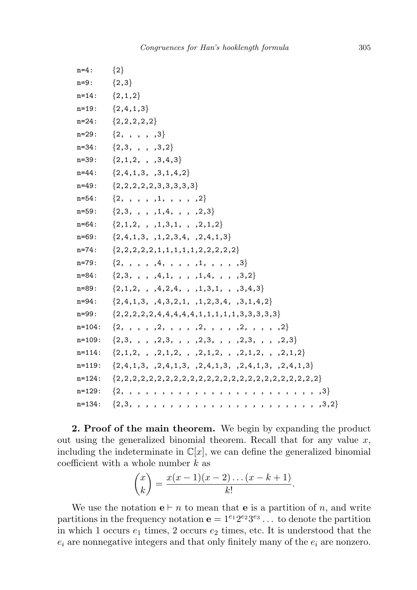```
n=4: {2}
n=9: {2,3}
n=14: \{2,1,2\}n=19: {2,4,1,3}
n=24: {2,2,2,2,2}
n=29: \{2, , , , , , , \}n=34: \{2,3, , , , , 3,2\}n=39: \{2,1,2, , , 3,4,3\}n=44: \{2,4,1,3, .3,1,4,2\}n=49: {2,2,2,2,2,3,3,3,3,3}
n=54: \{2, , , , , , 1, , , , , , 2\}n=59: \{2,3, , , , , 1,4, , , , , 2,3\}n=64: \{2,1,2, , 1,3,1, , 2,1,2\}n=69: {2,4,1,3, ,1,2,3,4, ,2,4,1,3}
n=74: {2,2,2,2,2,1,1,1,1,1,2,2,2,2,2}
n=79: \{2, , , , , 4, , , , , , 1, , , , , 3\}n=84: \{2,3, , , 4,1, , , 1,4, , , , 3,2\}n=89: \{2,1,2, , 4,2,4, , 1,3,1, , 3,4,3\}n=94: {2,4,1,3, ,4,3,2,1, ,1,2,3,4, ,3,1,4,2}
n=99: \{2,2,2,2,2,4,4,4,4,4,1,1,1,1,1,3,3,3,3,3\}n=104: \{2, , , , , , ,2, , , , ,2, , , , , 2, , , , , 2\}n=109: \{2,3, , , , , ,2,3, , , , ,2,3, , , , ,2,3, , , , ,2,3\}n=114: {2,1,2, , ,2,1,2, , ,2,1,2, , ,2,1,2, , ,2,1,2}
n=119: {2,4,1,3, ,2,4,1,3, ,2,4,1,3, ,2,4,1,3, ,2,4,1,3}
n=124: {2,2,2,2,2,2,2,2,2,2,2,2,2,2,2,2,2,2,2,2,2,2,2,2,2}
n=129: {2, , , , , , , , , , , , , , , , , , , , , , , , ,3}
n=134: {2,3, , , , , , , , , , , , , , , , , , , , , , , ,3,2}
```
2. Proof of the main theorem. We begin by expanding the product out using the generalized binomial theorem. Recall that for any value  $x$ , including the indeterminate in  $\mathbb{C}[x]$ , we can define the generalized binomial coefficient with a whole number  $k$  as

$$
\binom{x}{k} = \frac{x(x-1)(x-2)\dots(x-k+1)}{k!}.
$$

We use the notation  $e \vdash n$  to mean that **e** is a partition of *n*, and write partitions in the frequency notation  $e = 1^{e_1} 2^{e_2} 3^{e_3} \dots$  to denote the partition in which 1 occurs  $e_1$  times, 2 occurs  $e_2$  times, etc. It is understood that the  $e_i$  are nonnegative integers and that only finitely many of the  $e_i$  are nonzero.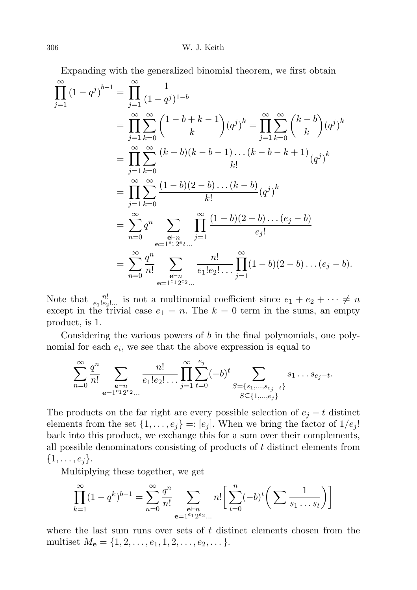Expanding with the generalized binomial theorem, we first obtain

$$
\prod_{j=1}^{\infty} (1 - q^j)^{b-1} = \prod_{j=1}^{\infty} \frac{1}{(1 - q^j)^{1-b}}
$$
\n
$$
= \prod_{j=1}^{\infty} \sum_{k=0}^{\infty} {1 - b + k - 1 \choose k} (q^j)^k = \prod_{j=1}^{\infty} \sum_{k=0}^{\infty} {k - b \choose k} (q^j)^k
$$
\n
$$
= \prod_{j=1}^{\infty} \sum_{k=0}^{\infty} \frac{(k - b)(k - b - 1) \dots (k - b - k + 1)}{k!} (q^j)^k
$$
\n
$$
= \prod_{j=1}^{\infty} \sum_{k=0}^{\infty} \frac{(1 - b)(2 - b) \dots (k - b)}{k!} (q^j)^k
$$
\n
$$
= \sum_{n=0}^{\infty} q^n \sum_{\substack{\mathbf{e} \vdash n \\ \mathbf{e} = 1^{e_1} 2^{e_2} \dots}} \prod_{j=1}^{\infty} \frac{(1 - b)(2 - b) \dots (e_j - b)}{e_j!}
$$
\n
$$
= \sum_{n=0}^{\infty} \frac{q^n}{n!} \sum_{\substack{\mathbf{e} \vdash n \\ \mathbf{e} = 1^{e_1} 2^{e_2} \dots}} \frac{n!}{e_1! e_2! \dots} \prod_{j=1}^{\infty} (1 - b)(2 - b) \dots (e_j - b).
$$

Note that  $\frac{n!}{e_1!e_2!...}$  is not a multinomial coefficient since  $e_1 + e_2 + \cdots \neq n$ except in the trivial case  $e_1 = n$ . The  $k = 0$  term in the sums, an empty product, is 1.

Considering the various powers of b in the final polynomials, one polynomial for each  $e_i$ , we see that the above expression is equal to

$$
\sum_{n=0}^{\infty} \frac{q^n}{n!} \sum_{\substack{\mathbf{e} \vdash n \\ \mathbf{e} = 1^{e_1} 2^{e_2} \dots}} \frac{n!}{e_1! e_2! \dots} \prod_{j=1}^{\infty} \sum_{t=0}^{e_j} (-b)^t \sum_{\substack{S = \{s_1, \dots, s_{e_j} - t\} \\ S \subseteq \{1, \dots, e_j\}}} s_1 \dots s_{e_j - t}.
$$

The products on the far right are every possible selection of  $e_j - t$  distinct elements from the set  $\{1, \ldots, e_j\} =: [e_j]$ . When we bring the factor of  $1/e_j!$ back into this product, we exchange this for a sum over their complements, all possible denominators consisting of products of t distinct elements from  $\{1, \ldots, e_j\}.$ 

Multiplying these together, we get

$$
\prod_{k=1}^{\infty} (1 - q^k)^{b-1} = \sum_{n=0}^{\infty} \frac{q^n}{n!} \sum_{\substack{\mathbf{e} \vdash n \\ \mathbf{e} = 1^{e_1} 2^{e_2} \dots}} n! \left[ \sum_{t=0}^n (-b)^t \left( \sum \frac{1}{s_1 \dots s_t} \right) \right]
$$

where the last sum runs over sets of  $t$  distinct elements chosen from the multiset  $M_{\mathbf{e}} = \{1, 2, \ldots, e_1, 1, 2, \ldots, e_2, \ldots\}.$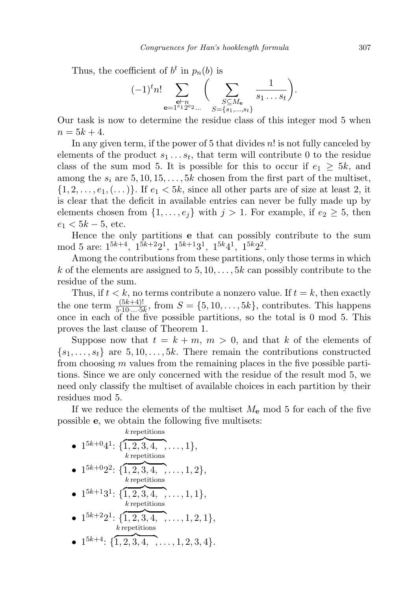Thus, the coefficient of  $b^t$  in  $p_n(b)$  is

$$
(-1)^{t} n! \sum_{\substack{\mathbf{e} \vdash n \\ \mathbf{e} = 1^{e_1} 2^{e_2} \dots} } \Big( \sum_{\substack{S \subseteq M_{\mathbf{e}} \\ S = \{s_1, \dots, s_t\}}} \frac{1}{s_1 \dots s_t} \Big).
$$

Our task is now to determine the residue class of this integer mod 5 when  $n = 5k + 4.$ 

In any given term, if the power of 5 that divides  $n!$  is not fully canceled by elements of the product  $s_1 \ldots s_t$ , that term will contribute 0 to the residue class of the sum mod 5. It is possible for this to occur if  $e_1 \geq 5k$ , and among the  $s_i$  are  $5, 10, 15, \ldots, 5k$  chosen from the first part of the multiset,  $\{1, 2, \ldots, e_1, (\ldots)\}\.$  If  $e_1 < 5k$ , since all other parts are of size at least 2, it is clear that the deficit in available entries can never be fully made up by elements chosen from  $\{1, \ldots, e_j\}$  with  $j > 1$ . For example, if  $e_2 \geq 5$ , then  $e_1 < 5k - 5$ , etc.

Hence the only partitions e that can possibly contribute to the sum mod 5 are:  $1^{5k+4}$ ,  $1^{5k+2}2^1$ ,  $1^{5k+1}3^1$ ,  $1^{5k}4^1$ ,  $1^{5k}2^2$ .

Among the contributions from these partitions, only those terms in which k of the elements are assigned to  $5, 10, \ldots, 5k$  can possibly contribute to the residue of the sum.

Thus, if  $t < k$ , no terms contribute a nonzero value. If  $t = k$ , then exactly the one term  $\frac{(5k+4)!}{5 \cdot 10 \cdot \ldots \cdot 5k}$ , from  $S = \{5, 10, \ldots, 5k\}$ , contributes. This happens once in each of the five possible partitions, so the total is 0 mod 5. This proves the last clause of Theorem 1.

Suppose now that  $t = k + m$ ,  $m > 0$ , and that k of the elements of  ${s_1, \ldots, s_t}$  are  $5, 10, \ldots, 5k$ . There remain the contributions constructed from choosing m values from the remaining places in the five possible partitions. Since we are only concerned with the residue of the result mod 5, we need only classify the multiset of available choices in each partition by their residues mod 5.

If we reduce the elements of the multiset  $M_{\rm e}$  mod 5 for each of the five possible e, we obtain the following five multisets:

• 
$$
1^{5k+0}4^1
$$
: { $\overbrace{1,2,3,4,\ldots,1}^{k \text{ repetitions}}$ }

- $\bullet$  1<sup>5k+0</sup>2<sup>2</sup>: {  $\overline{1,2,3,4,\ldots,1,2\},\$ k repetitions
- $\bullet$   $1^{5k+1}3^1$ : {  $\overline{1,2,3,4,\ldots,1,1},$ k repetitions
- $\bullet$   $1^{5k+2}2^1$ : {  $\overline{1,2,3,4,}, \ldots, 1,2,1 \},$ k repetitions
- $\bullet$  1<sup>5k+4</sup>: {  $\overline{1,2,3,4,\ldots,1,2,3,4}.$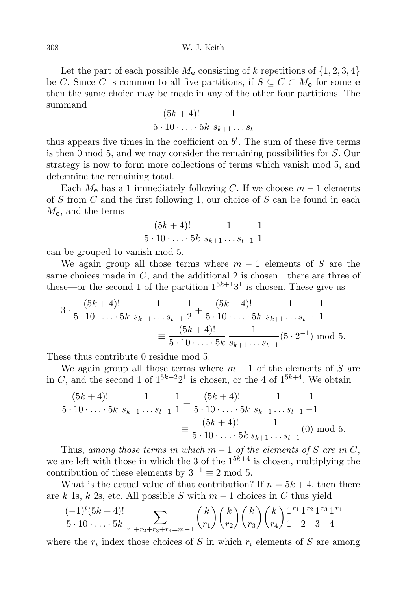308 W. J. Keith

Let the part of each possible  $M_e$  consisting of k repetitions of  $\{1, 2, 3, 4\}$ be C. Since C is common to all five partitions, if  $S \subseteq C \subset M_{e}$  for some e then the same choice may be made in any of the other four partitions. The summand

$$
\frac{(5k+4)!}{5 \cdot 10 \cdot \ldots \cdot 5k} \cdot \frac{1}{s_{k+1} \ldots s_t}
$$

thus appears five times in the coefficient on  $b<sup>t</sup>$ . The sum of these five terms is then 0 mod 5, and we may consider the remaining possibilities for S. Our strategy is now to form more collections of terms which vanish mod 5, and determine the remaining total.

Each  $M_e$  has a 1 immediately following C. If we choose  $m-1$  elements of  $S$  from  $C$  and the first following 1, our choice of  $S$  can be found in each  $M_{\rm e}$ , and the terms

$$
\frac{(5k+4)!}{5 \cdot 10 \cdot \ldots \cdot 5k} \frac{1}{s_{k+1} \ldots s_{t-1}} \frac{1}{1}
$$

can be grouped to vanish mod 5.

We again group all those terms where  $m-1$  elements of S are the same choices made in  $C$ , and the additional 2 is chosen—there are three of these—or the second 1 of the partition  $1^{5k+1}3^1$  is chosen. These give us

$$
3 \cdot \frac{(5k+4)!}{5 \cdot 10 \cdot \ldots \cdot 5k} \frac{1}{s_{k+1} \ldots s_{t-1}} \frac{1}{2} + \frac{(5k+4)!}{5 \cdot 10 \cdot \ldots \cdot 5k} \frac{1}{s_{k+1} \ldots s_{t-1}} \frac{1}{1}
$$
  

$$
\equiv \frac{(5k+4)!}{5 \cdot 10 \cdot \ldots \cdot 5k} \frac{1}{s_{k+1} \ldots s_{t-1}} (5 \cdot 2^{-1}) \mod 5.
$$

These thus contribute 0 residue mod 5.

We again group all those terms where  $m-1$  of the elements of S are in C, and the second 1 of  $1^{5k+2}2^1$  is chosen, or the 4 of  $1^{5k+4}$ . We obtain

$$
\frac{(5k+4)!}{5 \cdot 10 \cdot \ldots \cdot 5k} \frac{1}{s_{k+1} \ldots s_{t-1}} \frac{1}{1} + \frac{(5k+4)!}{5 \cdot 10 \cdot \ldots \cdot 5k} \frac{1}{s_{k+1} \ldots s_{t-1}} \frac{1}{-1}
$$

$$
\equiv \frac{(5k+4)!}{5 \cdot 10 \cdot \ldots \cdot 5k} \frac{1}{s_{k+1} \ldots s_{t-1}}(0) \mod 5.
$$

Thus, among those terms in which  $m-1$  of the elements of S are in C, we are left with those in which the 3 of the  $1^{5k+4}$  is chosen, multiplying the contribution of these elements by  $3^{-1} \equiv 2 \mod 5$ .

What is the actual value of that contribution? If  $n = 5k + 4$ , then there are k 1s, k 2s, etc. All possible S with  $m-1$  choices in C thus yield

$$
\frac{(-1)^{t}(5k+4)!}{5 \cdot 10 \cdot \ldots \cdot 5k} \sum_{r_{1}+r_{2}+r_{3}+r_{4}=m-1} {k \choose r_{1}} {k \choose r_{2}} {k \choose r_{3}} {k \choose r_{4}} \frac{1^{r_{1}} 1^{r_{2}} 1^{r_{3}} 1^{r_{4}}}{\frac{1}{2} \cdot \frac{1}{3} \cdot \frac{1}{4} \cdot k}
$$

where the  $r_i$  index those choices of S in which  $r_i$  elements of S are among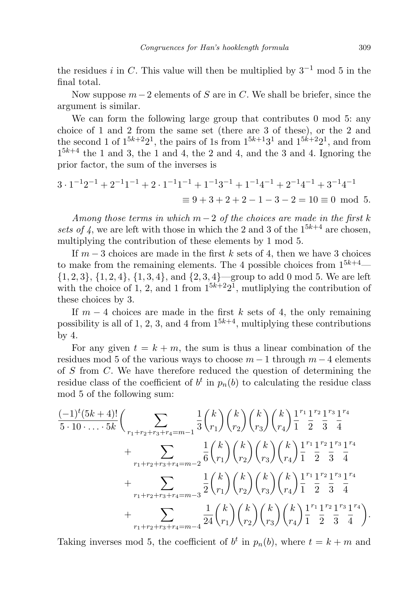the residues i in C. This value will then be multiplied by  $3^{-1}$  mod 5 in the final total.

Now suppose  $m-2$  elements of S are in C. We shall be briefer, since the argument is similar.

We can form the following large group that contributes 0 mod 5: any choice of 1 and 2 from the same set (there are 3 of these), or the 2 and the second 1 of  $1^{5k+2}2^1$ , the pairs of 1s from  $1^{5k+1}3^1$  and  $1^{5k+2}2^1$ , and from  $1^{5k+4}$  the 1 and 3, the 1 and 4, the 2 and 4, and the 3 and 4. Ignoring the prior factor, the sum of the inverses is

$$
3 \cdot 1^{-1}2^{-1} + 2^{-1}1^{-1} + 2 \cdot 1^{-1}1^{-1} + 1^{-1}3^{-1} + 1^{-1}4^{-1} + 2^{-1}4^{-1} + 3^{-1}4^{-1}
$$
  
\n
$$
\equiv 9 + 3 + 2 + 2 - 1 - 3 - 2 = 10 \equiv 0 \mod 5.
$$

Among those terms in which  $m-2$  of the choices are made in the first k sets of 4, we are left with those in which the 2 and 3 of the  $1^{5k+4}$  are chosen, multiplying the contribution of these elements by 1 mod 5.

If  $m-3$  choices are made in the first k sets of 4, then we have 3 choices to make from the remaining elements. The 4 possible choices from  $1^{5k+4}$ —  $\{1, 2, 3\}, \{1, 2, 4\}, \{1, 3, 4\}, \text{ and } \{2, 3, 4\}$  group to add 0 mod 5. We are left with the choice of 1, 2, and 1 from  $1^{5k+2}2^1$ , mutliplying the contribution of these choices by 3.

If  $m-4$  choices are made in the first k sets of 4, the only remaining possibility is all of 1, 2, 3, and 4 from  $1^{5k+4}$ , multiplying these contributions by 4.

For any given  $t = k + m$ , the sum is thus a linear combination of the residues mod 5 of the various ways to choose  $m-1$  through  $m-4$  elements of S from C. We have therefore reduced the question of determining the residue class of the coefficient of  $b^t$  in  $p_n(b)$  to calculating the residue class mod 5 of the following sum:

$$
\frac{(-1)^{t}(5k+4)!}{5 \cdot 10 \cdot \ldots \cdot 5k} \Biggl( \sum_{r_{1}+r_{2}+r_{3}+r_{4}=m-1} \frac{1}{3} {k \choose r_{1}} {k \choose r_{2}} {k \choose r_{3}} {k \choose r_{4}} \frac{1}{1}^{r_{1}} \frac{1}{2}^{r_{2}} \frac{1}{3}^{r_{3}} \frac{1}{4}^{r_{4}} \n+ \sum_{r_{1}+r_{2}+r_{3}+r_{4}=m-2} \frac{1}{6} {k \choose r_{1}} {k \choose r_{2}} {k \choose r_{3}} {k \choose r_{4}} \frac{1}{1}^{r_{1}} \frac{1}{2}^{r_{2}} \frac{1}{3}^{r_{3}} \frac{1}{4}^{r_{4}} \n+ \sum_{r_{1}+r_{2}+r_{3}+r_{4}=m-3} \frac{1}{2} {k \choose r_{1}} {k \choose r_{2}} {k \choose r_{3}} {k \choose r_{4}} \frac{1}{1}^{r_{1}} \frac{1}{2}^{r_{2}} \frac{1}{3}^{r_{3}} \frac{1}{4}^{r_{4}} \n+ \sum_{r_{1}+r_{2}+r_{3}+r_{4}=m-4} \frac{1}{24} {k \choose r_{1}} {k \choose r_{2}} {k \choose r_{3}} {k \choose r_{4}} \frac{1}{1}^{r_{1}} \frac{1}{2}^{r_{2}} \frac{1}{3}^{r_{3}} \frac{1}{4}^{r_{4}}.
$$

Taking inverses mod 5, the coefficient of  $b^t$  in  $p_n(b)$ , where  $t = k + m$  and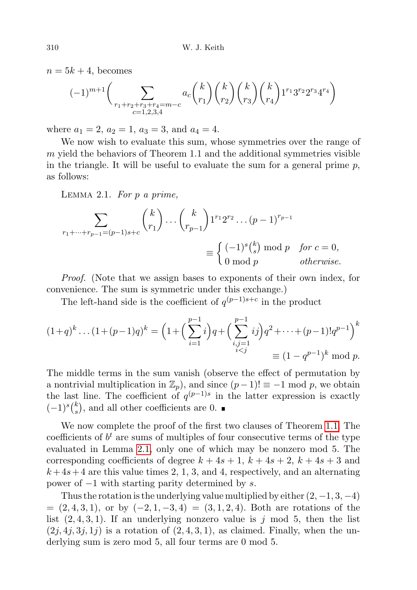$n = 5k + 4$ , becomes

$$
(-1)^{m+1} \bigg(\sum_{\substack{r_1+r_2+r_3+r_4=m-c\\c=1,2,3,4}} a_c \binom{k}{r_1} \binom{k}{r_2} \binom{k}{r_3} \binom{k}{r_4} 1^{r_1} 3^{r_2} 2^{r_3} 4^{r_4}\bigg)
$$

where  $a_1 = 2, a_2 = 1, a_3 = 3, \text{ and } a_4 = 4.$ 

We now wish to evaluate this sum, whose symmetries over the range of  $m$  yield the behaviors of Theorem 1.1 and the additional symmetries visible in the triangle. It will be useful to evaluate the sum for a general prime  $p$ , as follows:

<span id="page-7-0"></span>LEMMA 2.1. For  $p$  a prime,

$$
\sum_{r_1+\dots+r_{p-1}=(p-1)s+c} \binom{k}{r_1} \dots \binom{k}{r_{p-1}} 1^{r_1} 2^{r_2} \dots (p-1)^{r_{p-1}}
$$

$$
\equiv \begin{cases} (-1)^s \binom{k}{s} \bmod p & \text{for } c=0, \\ 0 \bmod p & \text{otherwise.} \end{cases}
$$

Proof. (Note that we assign bases to exponents of their own index, for convenience. The sum is symmetric under this exchange.)

The left-hand side is the coefficient of  $q^{(p-1)s+c}$  in the product

$$
(1+q)^{k} \dots (1+(p-1)q)^{k} = \left(1+\left(\sum_{i=1}^{p-1} i\right)q + \left(\sum_{\substack{i,j=1 \ i
$$
\equiv (1-q^{p-1})^{k} \mod p.
$$
$$

The middle terms in the sum vanish (observe the effect of permutation by a nontrivial multiplication in  $\mathbb{Z}_p$ , and since  $(p-1)! \equiv -1 \mod p$ , we obtain the last line. The coefficient of  $q^{(p-1)s}$  in the latter expression is exactly  $(-1)^s\binom{k}{s}$  $s$ , and all other coefficients are 0.

We now complete the proof of the first two clauses of Theorem [1.1.](#page-1-1) The coefficients of  $b<sup>t</sup>$  are sums of multiples of four consecutive terms of the type evaluated in Lemma [2.1,](#page-7-0) only one of which may be nonzero mod 5. The corresponding coefficients of degree  $k + 4s + 1$ ,  $k + 4s + 2$ ,  $k + 4s + 3$  and  $k+4s+4$  are this value times 2, 1, 3, and 4, respectively, and an alternating power of  $-1$  with starting parity determined by s.

Thus the rotation is the underlying value multiplied by either  $(2, -1, 3, -4)$  $= (2, 4, 3, 1),$  or by  $(-2, 1, -3, 4) = (3, 1, 2, 4).$  Both are rotations of the list  $(2, 4, 3, 1)$ . If an underlying nonzero value is j mod 5, then the list  $(2j, 4j, 3j, 1j)$  is a rotation of  $(2, 4, 3, 1)$ , as claimed. Finally, when the underlying sum is zero mod 5, all four terms are 0 mod 5.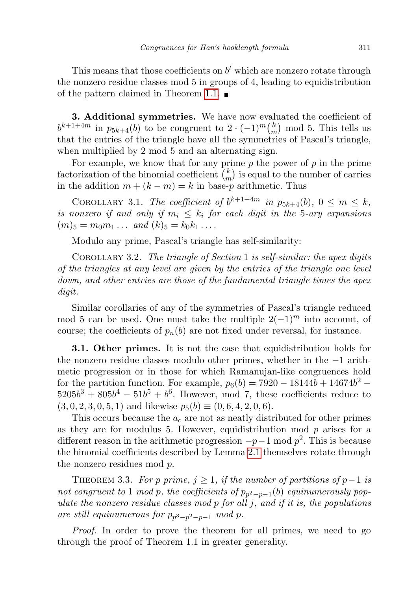This means that those coefficients on  $b<sup>t</sup>$  which are nonzero rotate through the nonzero residue classes mod 5 in groups of 4, leading to equidistribution of the pattern claimed in Theorem [1.1.](#page-1-1)  $\blacksquare$ 

3. Additional symmetries. We have now evaluated the coefficient of  $b^{k+1+4m}$  in  $p_{5k+4}(b)$  to be congruent to  $2 \cdot (-1)^m {k \choose m}$  $\binom{k}{m}$  mod 5. This tells us that the entries of the triangle have all the symmetries of Pascal's triangle, when multiplied by 2 mod 5 and an alternating sign.

For example, we know that for any prime  $p$  the power of  $p$  in the prime factorization of the binomial coefficient  $\binom{k}{m}$  $\binom{k}{m}$  is equal to the number of carries in the addition  $m + (k - m) = k$  in base-p arithmetic. Thus

COROLLARY 3.1. The coefficient of  $b^{k+1+4m}$  in  $p_{5k+4}(b)$ ,  $0 \leq m \leq k$ , is nonzero if and only if  $m_i \leq k_i$  for each digit in the 5-ary expansions  $(m)_{5} = m_{0}m_{1} \ldots$  and  $(k)_{5} = k_{0}k_{1} \ldots$ 

Modulo any prime, Pascal's triangle has self-similarity:

COROLLARY 3.2. The triangle of Section 1 is self-similar: the apex digits of the triangles at any level are given by the entries of the triangle one level down, and other entries are those of the fundamental triangle times the apex digit.

Similar corollaries of any of the symmetries of Pascal's triangle reduced mod 5 can be used. One must take the multiple  $2(-1)^m$  into account, of course; the coefficients of  $p_n(b)$  are not fixed under reversal, for instance.

3.1. Other primes. It is not the case that equidistribution holds for the nonzero residue classes modulo other primes, whether in the −1 arithmetic progression or in those for which Ramanujan-like congruences hold for the partition function. For example,  $p_6(b) = 7920 - 18144b + 14674b^2$  $5205b^3 + 805b^4 - 51b^5 + b^6$ . However, mod 7, these coefficients reduce to  $(3, 0, 2, 3, 0, 5, 1)$  and likewise  $p_5(b) \equiv (0, 6, 4, 2, 0, 6)$ .

This occurs because the  $a_c$  are not as neatly distributed for other primes as they are for modulus 5. However, equidistribution mod  $p$  arises for a different reason in the arithmetic progression  $-p-1$  mod  $p^2$ . This is because the binomial coefficients described by Lemma [2.1](#page-7-0) themselves rotate through the nonzero residues mod p.

THEOREM 3.3. For p prime,  $j \geq 1$ , if the number of partitions of p−1 is not congruent to 1 mod p, the coefficients of  $p_{p^2-p-1}(b)$  equinumerously populate the nonzero residue classes mod  $p$  for all  $j$ , and if it is, the populations are still equinumerous for  $p_{p^3-p^2-p-1}$  mod p.

Proof. In order to prove the theorem for all primes, we need to go through the proof of Theorem 1.1 in greater generality.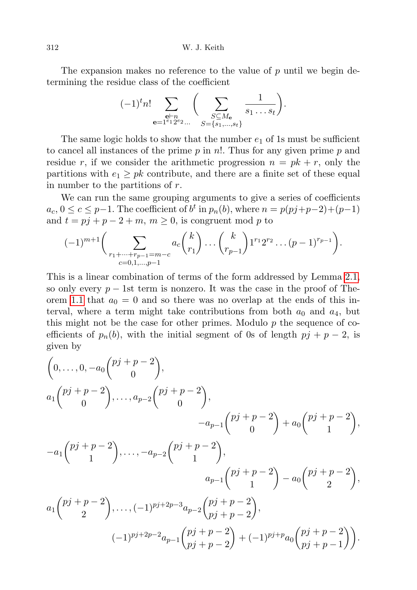312 W. J. Keith

The expansion makes no reference to the value of  $p$  until we begin determining the residue class of the coefficient

$$
(-1)^{t} n! \sum_{\substack{\mathbf{e}\vdash n \\ \mathbf{e}=1^{e_1} 2^{e_2} \dots}} \Bigg(\sum_{\substack{S\subseteq M_{\mathbf{e}} \\ S=\{s_1,\dots,s_t\}}} \frac{1}{s_1 \dots s_t}\Bigg).
$$

The same logic holds to show that the number  $e_1$  of 1s must be sufficient to cancel all instances of the prime  $p$  in n!. Thus for any given prime  $p$  and residue r, if we consider the arithmetic progression  $n = pk + r$ , only the partitions with  $e_1 \geq p k$  contribute, and there are a finite set of these equal in number to the partitions of r.

We can run the same grouping arguments to give a series of coefficients  $a_c, 0 \leq c \leq p-1$ . The coefficient of  $b^t$  in  $p_n(b)$ , where  $n = p(pj+p-2)+(p-1)$ and  $t = pj + p - 2 + m$ ,  $m \ge 0$ , is congruent mod p to

$$
(-1)^{m+1} \bigg( \sum_{\substack{r_1 + \dots + r_{p-1} = m-c \\ c = 0, 1, \dots, p-1}} a_c {k \choose r_1} \dots {k \choose r_{p-1}} 1^{r_1} 2^{r_2} \dots (p-1)^{r_{p-1}} \bigg).
$$

This is a linear combination of terms of the form addressed by Lemma [2.1,](#page-7-0) so only every  $p - 1$ st term is nonzero. It was the case in the proof of The-orem [1.1](#page-1-1) that  $a_0 = 0$  and so there was no overlap at the ends of this interval, where a term might take contributions from both  $a_0$  and  $a_4$ , but this might not be the case for other primes. Modulo  $p$  the sequence of coefficients of  $p_n(b)$ , with the initial segment of 0s of length  $pj + p - 2$ , is given by

$$
\begin{aligned}\n&\left(0,\ldots,0,-a_0\binom{pj+p-2}{0},\right. \\
&\left.\begin{matrix}a_1\binom{pj+p-2}{0},\ldots,a_{p-2}\binom{pj+p-2}{0},\\-a_{p-1}\binom{pj+p-2}{0}+a_0\binom{pj+p-2}{1},\\-a_1\binom{pj+p-2}{1},\ldots,-a_{p-2}\binom{pj+p-2}{1},\\a_{p-1}\binom{pj+p-2}{1}-a_0\binom{pj+p-2}{2},\\a_1\binom{pj+p-2}{2},\ldots,(-1)^{pj+2p-3}a_{p-2}\binom{pj+p-2}{pj+p-2},\\(-1)^{pj+2p-2}a_{p-1}\binom{pj+p-2}{pj+p-2}+(-1)^{pj+p}a_0\binom{pj+p-2}{pj+p-1}\right).\n\end{matrix}
$$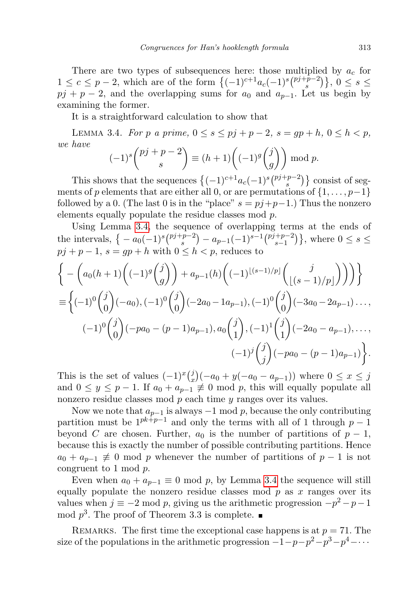There are two types of subsequences here: those multiplied by  $a_c$  for  $1 \leq c \leq p-2$ , which are of the form  $\{(-1)^{c+1}a_c(-1)^s\binom{p^j+p-2}{s}$  ${s}^{p-2}\big),\,0\leq s\leq$  $pj + p - 2$ , and the overlapping sums for  $a_0$  and  $a_{p-1}$ . Let us begin by examining the former.

It is a straightforward calculation to show that

<span id="page-10-0"></span>LEMMA 3.4. For p a prime,  $0 \le s \le pj + p - 2$ ,  $s = gp + h$ ,  $0 \le h < p$ , we have

$$
(-1)^s {pi+p-2 \choose s} \equiv (h+1) \left((-1)^g {j \choose g} \right) \bmod p.
$$

This shows that the sequences  $\{(-1)^{c+1}a_c(-1)^s\binom{p^j+p-2}{s}\}$  $\binom{p-2}{s}$  consist of segments of p elements that are either all 0, or are permutations of  $\{1, \ldots, p-1\}$ followed by a 0. (The last 0 is in the "place"  $s = pj+p-1$ .) Thus the nonzero elements equally populate the residue classes mod p.

Using Lemma [3.4,](#page-10-0) the sequence of overlapping terms at the ends of the intervals,  $\{-a_0(-1)^s\binom{pj+p-2}{s}$  $(s^{-p-2}) - a_{p-1}(-1)^{s-1}\binom{pj+p-2}{s-1}$  $\{s-1}^{(p-2)}\},\,$  where  $0 \leq s \leq$  $pj + p - 1$ ,  $s = gp + h$  with  $0 \le h < p$ , reduces to

$$
\begin{aligned}\n&\bigg\{-\bigg(a_0(h+1)\bigg((-1)^g\binom{j}{g}\bigg)+a_{p-1}(h)\bigg((-1)^{\lfloor (s-1)/p\rfloor}\binom{j}{\lfloor (s-1)/p\rfloor}\bigg)\bigg)\bigg\} \\
&\equiv\bigg\{(-1)^0\binom{j}{0}(-a_0),(-1)^0\binom{j}{0}(-2a_0-1a_{p-1}),(-1)^0\binom{j}{0}(-3a_0-2a_{p-1})\dots, \\
&(-1)^0\binom{j}{0}(-pa_0-(p-1)a_{p-1}),a_0\binom{j}{1},(-1)^1\binom{j}{1}(-2a_0-a_{p-1}),\dots, \\
&(-1)^j\binom{j}{j}(-pa_0-(p-1)a_{p-1})\bigg\}.\n\end{aligned}
$$

This is the set of values  $(-1)^{x}\binom{j}{x}$  $(x_n^j)(-a_0+y(-a_0-a_{p-1}))$  where  $0 \le x \le j$ and  $0 \leq y \leq p-1$ . If  $a_0 + a_{p-1} \not\equiv 0 \mod p$ , this will equally populate all nonzero residue classes mod  $p$  each time  $y$  ranges over its values.

Now we note that  $a_{p-1}$  is always  $-1$  mod p, because the only contributing partition must be  $1^{pk+p-1}$  and only the terms with all of 1 through  $p-1$ beyond C are chosen. Further,  $a_0$  is the number of partitions of  $p-1$ , because this is exactly the number of possible contributing partitions. Hence  $a_0 + a_{p-1} \not\equiv 0 \mod p$  whenever the number of partitions of  $p-1$  is not congruent to 1 mod p.

Even when  $a_0 + a_{p-1} \equiv 0 \mod p$ , by Lemma [3.4](#page-10-0) the sequence will still equally populate the nonzero residue classes mod  $p$  as  $x$  ranges over its values when  $j \equiv -2 \mod p$ , giving us the arithmetic progression  $-p^2 - p - 1$ mod  $p^3$ . The proof of Theorem 3.3 is complete.

REMARKS. The first time the exceptional case happens is at  $p = 71$ . The size of the populations in the arithmetic progression  $-1-p-p^2-p^3-p^4-\cdots$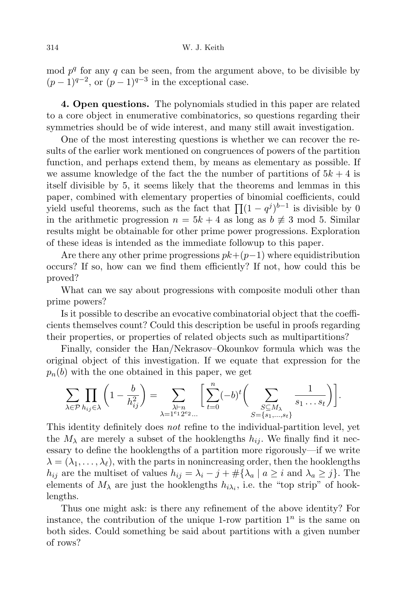mod  $p<sup>q</sup>$  for any q can be seen, from the argument above, to be divisible by  $(p-1)^{q-2}$ , or  $(p-1)^{q-3}$  in the exceptional case.

4. Open questions. The polynomials studied in this paper are related to a core object in enumerative combinatorics, so questions regarding their symmetries should be of wide interest, and many still await investigation.

One of the most interesting questions is whether we can recover the results of the earlier work mentioned on congruences of powers of the partition function, and perhaps extend them, by means as elementary as possible. If we assume knowledge of the fact the the number of partitions of  $5k + 4$  is itself divisible by 5, it seems likely that the theorems and lemmas in this paper, combined with elementary properties of binomial coefficients, could yield useful theorems, such as the fact that  $\prod (1 - q^j)^{b-1}$  is divisible by 0 in the arithmetic progression  $n = 5k + 4$  as long as  $b \neq 3$  mod 5. Similar results might be obtainable for other prime power progressions. Exploration of these ideas is intended as the immediate followup to this paper.

Are there any other prime progressions  $pk+(p-1)$  where equidistribution occurs? If so, how can we find them efficiently? If not, how could this be proved?

What can we say about progressions with composite moduli other than prime powers?

Is it possible to describe an evocative combinatorial object that the coefficients themselves count? Could this description be useful in proofs regarding their properties, or properties of related objects such as multipartitions?

Finally, consider the Han/Nekrasov–Okounkov formula which was the original object of this investigation. If we equate that expression for the  $p_n(b)$  with the one obtained in this paper, we get

$$
\sum_{\lambda \in \mathcal{P}} \prod_{h_{ij} \in \lambda} \left(1 - \frac{b}{h_{ij}^2}\right) = \sum_{\substack{\lambda \vdash n \\ \lambda = 1^{e_1} 2^{e_2} \dots}} \left[\sum_{t=0}^n (-b)^t \bigg(\sum_{\substack{S \subseteq M_{\lambda} \\ S = \{s_1, \dots, s_t\}}} \frac{1}{s_1 \dots s_t}\bigg)\right].
$$

This identity definitely does not refine to the individual-partition level, yet the  $M_{\lambda}$  are merely a subset of the hooklengths  $h_{ij}$ . We finally find it necessary to define the hooklengths of a partition more rigorously—if we write  $\lambda = (\lambda_1, \ldots, \lambda_\ell)$ , with the parts in nonincreasing order, then the hooklengths  $h_{ij}$  are the multiset of values  $h_{ij} = \lambda_i - j + \#\{\lambda_a \mid a \geq i \text{ and } \lambda_a \geq j\}.$  The elements of  $M_{\lambda}$  are just the hooklengths  $h_{i\lambda_i}$ , i.e. the "top strip" of hooklengths.

Thus one might ask: is there any refinement of the above identity? For instance, the contribution of the unique 1-row partition  $1<sup>n</sup>$  is the same on both sides. Could something be said about partitions with a given number of rows?